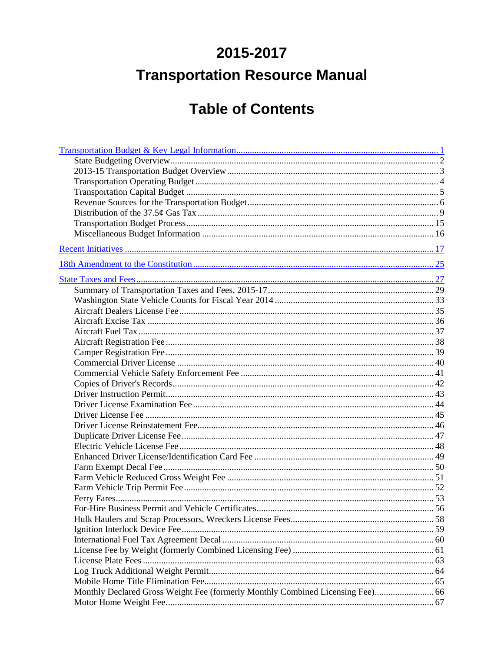## 2015-2017 **Transportation Resource Manual**

## **Table of Contents**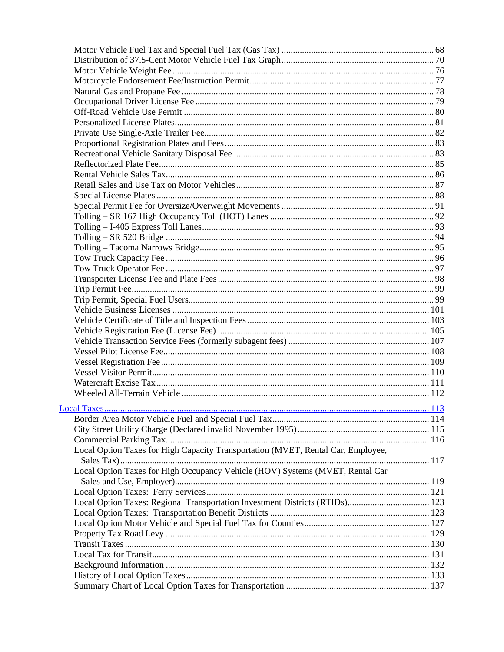| Local Option Taxes for High Capacity Transportation (MVET, Rental Car, Employee, |  |
|----------------------------------------------------------------------------------|--|
|                                                                                  |  |
| Local Option Taxes for High Occupancy Vehicle (HOV) Systems (MVET, Rental Car    |  |
|                                                                                  |  |
|                                                                                  |  |
| Local Option Taxes: Regional Transportation Investment Districts (RTIDs) 123     |  |
|                                                                                  |  |
|                                                                                  |  |
|                                                                                  |  |
|                                                                                  |  |
|                                                                                  |  |
|                                                                                  |  |
|                                                                                  |  |
|                                                                                  |  |
|                                                                                  |  |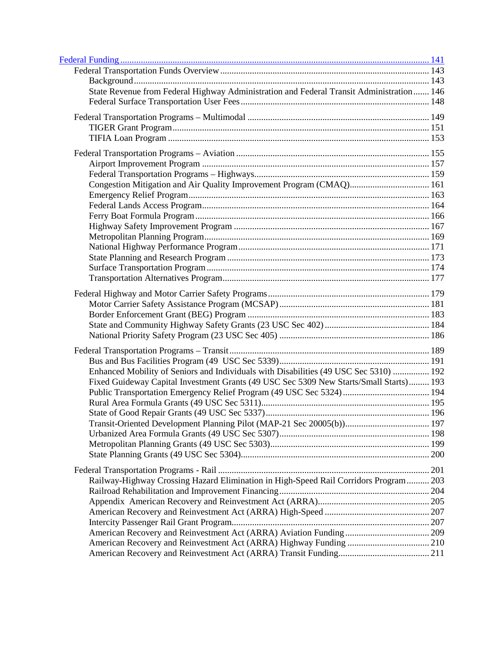| State Revenue from Federal Highway Administration and Federal Transit Administration 146 |  |
|------------------------------------------------------------------------------------------|--|
|                                                                                          |  |
|                                                                                          |  |
|                                                                                          |  |
|                                                                                          |  |
|                                                                                          |  |
|                                                                                          |  |
|                                                                                          |  |
|                                                                                          |  |
| Congestion Mitigation and Air Quality Improvement Program (CMAQ) 161                     |  |
|                                                                                          |  |
|                                                                                          |  |
|                                                                                          |  |
|                                                                                          |  |
|                                                                                          |  |
|                                                                                          |  |
|                                                                                          |  |
|                                                                                          |  |
|                                                                                          |  |
|                                                                                          |  |
|                                                                                          |  |
|                                                                                          |  |
|                                                                                          |  |
|                                                                                          |  |
|                                                                                          |  |
|                                                                                          |  |
| Enhanced Mobility of Seniors and Individuals with Disabilities (49 USC Sec 5310)  192    |  |
| Fixed Guideway Capital Investment Grants (49 USC Sec 5309 New Starts/Small Starts) 193   |  |
|                                                                                          |  |
|                                                                                          |  |
|                                                                                          |  |
|                                                                                          |  |
|                                                                                          |  |
|                                                                                          |  |
|                                                                                          |  |
|                                                                                          |  |
| Railway-Highway Crossing Hazard Elimination in High-Speed Rail Corridors Program 203     |  |
|                                                                                          |  |
|                                                                                          |  |
|                                                                                          |  |
|                                                                                          |  |
|                                                                                          |  |
|                                                                                          |  |
|                                                                                          |  |
|                                                                                          |  |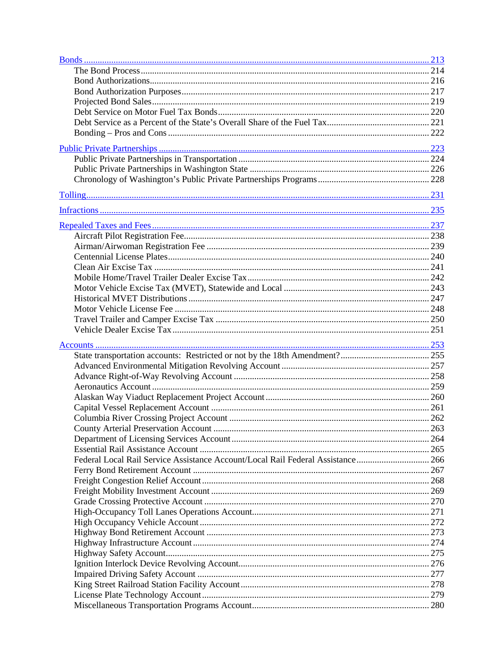| Federal Local Rail Service Assistance Account/Local Rail Federal Assistance 266 |  |
|---------------------------------------------------------------------------------|--|
|                                                                                 |  |
|                                                                                 |  |
|                                                                                 |  |
|                                                                                 |  |
|                                                                                 |  |
|                                                                                 |  |
|                                                                                 |  |
|                                                                                 |  |
|                                                                                 |  |
|                                                                                 |  |
|                                                                                 |  |
|                                                                                 |  |
|                                                                                 |  |